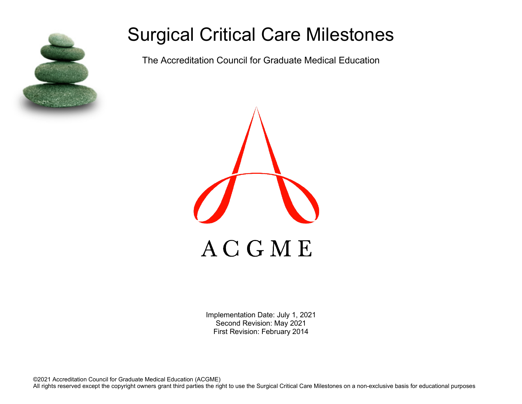

# Surgical Critical Care Milestones

The Accreditation Council for Graduate Medical Education



Implementation Date: July 1, 2021 Second Revision: May 2021 First Revision: February 2014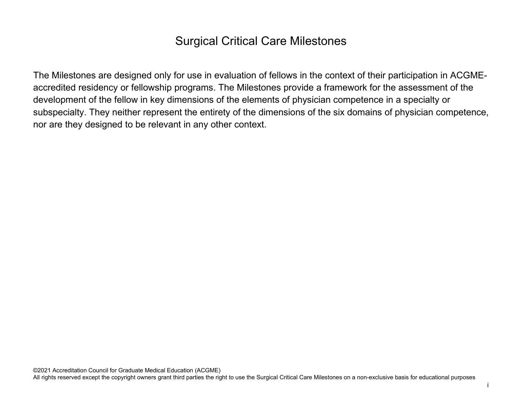# Surgical Critical Care Milestones

The Milestones are designed only for use in evaluation of fellows in the context of their participation in ACGMEaccredited residency or fellowship programs. The Milestones provide a framework for the assessment of the development of the fellow in key dimensions of the elements of physician competence in a specialty or subspecialty. They neither represent the entirety of the dimensions of the six domains of physician competence, nor are they designed to be relevant in any other context.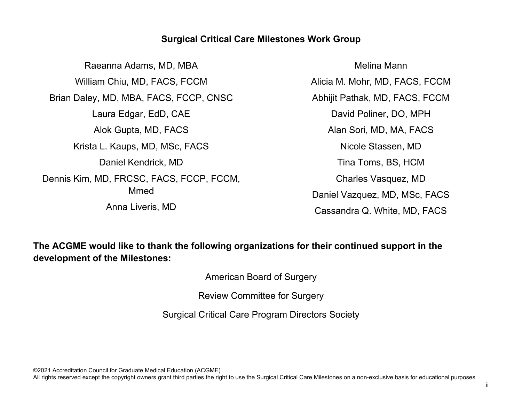### **Surgical Critical Care Milestones Work Group**

Raeanna Adams, MD, MBA William Chiu, MD, FACS, FCCM Brian Daley, MD, MBA, FACS, FCCP, CNSC Laura Edgar, EdD, CAE Alok Gupta, MD, FACS Krista L. Kaups, MD, MSc, FACS Daniel Kendrick, MD Dennis Kim, MD, FRCSC, FACS, FCCP, FCCM, Mmed Anna Liveris, MD

Melina Mann Alicia M. Mohr, MD, FACS, FCCM Abhijit Pathak, MD, FACS, FCCM David Poliner, DO, MPH Alan Sori, MD, MA, FACS Nicole Stassen, MD Tina Toms, BS, HCM Charles Vasquez, MD Daniel Vazquez, MD, MSc, FACS Cassandra Q. White, MD, FACS

**The ACGME would like to thank the following organizations for their continued support in the development of the Milestones:**

American Board of Surgery

Review Committee for Surgery

Surgical Critical Care Program Directors Society

©2021 Accreditation Council for Graduate Medical Education (ACGME)

All rights reserved except the copyright owners grant third parties the right to use the Surgical Critical Care Milestones on a non-exclusive basis for educational purposes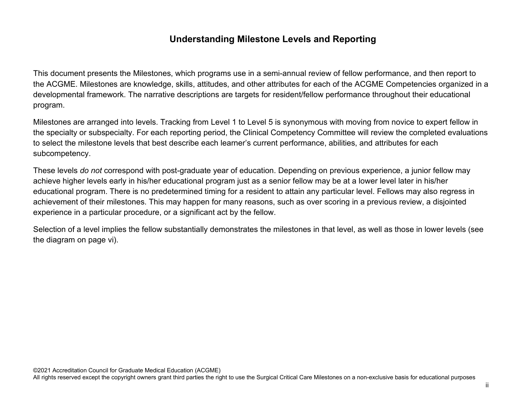## **Understanding Milestone Levels and Reporting**

This document presents the Milestones, which programs use in a semi-annual review of fellow performance, and then report to the ACGME. Milestones are knowledge, skills, attitudes, and other attributes for each of the ACGME Competencies organized in a developmental framework. The narrative descriptions are targets for resident/fellow performance throughout their educational program.

Milestones are arranged into levels. Tracking from Level 1 to Level 5 is synonymous with moving from novice to expert fellow in the specialty or subspecialty. For each reporting period, the Clinical Competency Committee will review the completed evaluations to select the milestone levels that best describe each learner's current performance, abilities, and attributes for each subcompetency.

These levels *do not* correspond with post-graduate year of education. Depending on previous experience, a junior fellow may achieve higher levels early in his/her educational program just as a senior fellow may be at a lower level later in his/her educational program. There is no predetermined timing for a resident to attain any particular level. Fellows may also regress in achievement of their milestones. This may happen for many reasons, such as over scoring in a previous review, a disjointed experience in a particular procedure, or a significant act by the fellow.

Selection of a level implies the fellow substantially demonstrates the milestones in that level, as well as those in lower levels (see the diagram on page vi).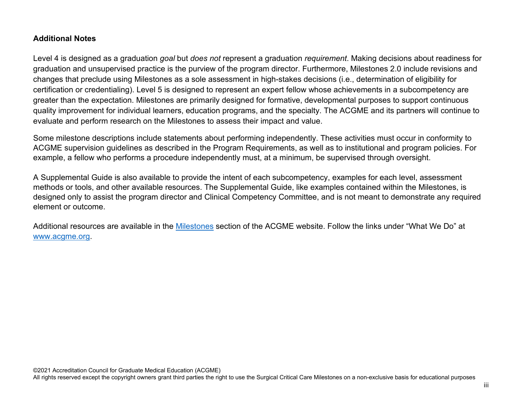#### **Additional Notes**

Level 4 is designed as a graduation *goal* but *does not* represent a graduation *requirement*. Making decisions about readiness for graduation and unsupervised practice is the purview of the program director. Furthermore, Milestones 2.0 include revisions and changes that preclude using Milestones as a sole assessment in high-stakes decisions (i.e., determination of eligibility for certification or credentialing). Level 5 is designed to represent an expert fellow whose achievements in a subcompetency are greater than the expectation. Milestones are primarily designed for formative, developmental purposes to support continuous quality improvement for individual learners, education programs, and the specialty. The ACGME and its partners will continue to evaluate and perform research on the Milestones to assess their impact and value.

Some milestone descriptions include statements about performing independently. These activities must occur in conformity to ACGME supervision guidelines as described in the Program Requirements, as well as to institutional and program policies. For example, a fellow who performs a procedure independently must, at a minimum, be supervised through oversight.

A Supplemental Guide is also available to provide the intent of each subcompetency, examples for each level, assessment methods or tools, and other available resources. The Supplemental Guide, like examples contained within the Milestones, is designed only to assist the program director and Clinical Competency Committee, and is not meant to demonstrate any required element or outcome.

Additional resources are available in the [Milestones](http://www.acgme.org/What-We-Do/Accreditation/Milestones/Overview) section of the ACGME website. Follow the links under "What We Do" at [www.acgme.org.](http://www.acgme.org/)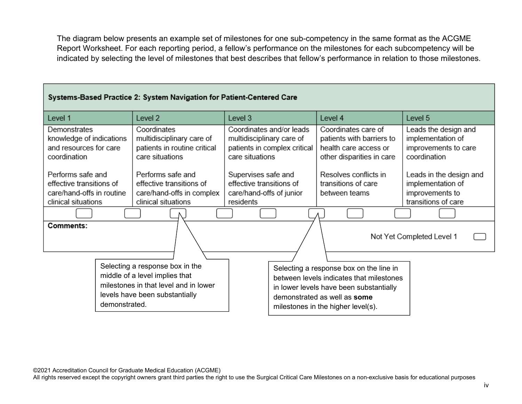The diagram below presents an example set of milestones for one sub-competency in the same format as the ACGME Report Worksheet. For each reporting period, a fellow's performance on the milestones for each subcompetency will be indicated by selecting the level of milestones that best describes that fellow's performance in relation to those milestones.

#### Systems-Based Practice 2: System Navigation for Patient-Centered Care

| Level 1                                            | Level 2                                                   | Level 3                                                   | Level 4                                            | Level 5                                   |
|----------------------------------------------------|-----------------------------------------------------------|-----------------------------------------------------------|----------------------------------------------------|-------------------------------------------|
| Demonstrates                                       | Coordinates                                               | Coordinates and/or leads                                  | Coordinates care of                                | Leads the design and                      |
| knowledge of indications<br>and resources for care | multidisciplinary care of<br>patients in routine critical | multidisciplinary care of<br>patients in complex critical | patients with barriers to<br>health care access or | implementation of<br>improvements to care |
| coordination                                       | care situations                                           | care situations                                           | other disparities in care                          | coordination                              |
| Performs safe and                                  | Performs safe and                                         | Supervises safe and                                       | Resolves conflicts in                              | Leads in the design and                   |
| effective transitions of                           | effective transitions of                                  | effective transitions of                                  | transitions of care                                | implementation of                         |
| care/hand-offs in routine                          | care/hand-offs in complex                                 | care/hand-offs of junior                                  | between teams                                      | improvements to                           |
| clinical situations                                | clinical situations                                       | residents                                                 |                                                    | transitions of care                       |
|                                                    |                                                           |                                                           |                                                    |                                           |
| Comments:                                          |                                                           |                                                           |                                                    | Not Yet Completed Level 1                 |
|                                                    |                                                           |                                                           |                                                    |                                           |
|                                                    | Selecting a response box in the                           |                                                           | Selecting a response box on the line in            |                                           |
|                                                    | middle of a level implies that                            |                                                           | between levels indicates that milestones           |                                           |
|                                                    | milestones in that level and in lower                     |                                                           | in lower levels have been substantially            |                                           |
|                                                    | levels have been substantially                            |                                                           | demonstrated as well as some                       |                                           |
| demonstrated.                                      |                                                           |                                                           | milestones in the higher level(s).                 |                                           |

©2021 Accreditation Council for Graduate Medical Education (ACGME)

All rights reserved except the copyright owners grant third parties the right to use the Surgical Critical Care Milestones on a non-exclusive basis for educational purposes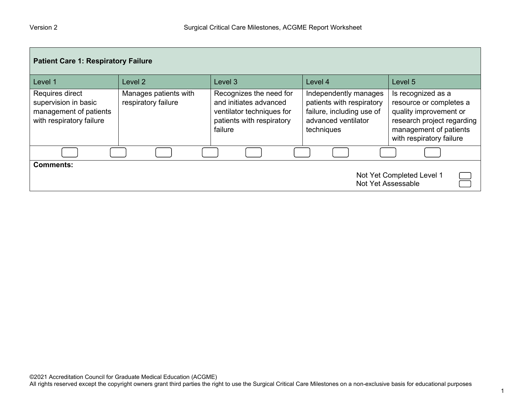| <b>Patient Care 1: Respiratory Failure</b>                                                    |                                              |                                                                                                                        |                                                                                                                      |                                                                                                                                                             |  |
|-----------------------------------------------------------------------------------------------|----------------------------------------------|------------------------------------------------------------------------------------------------------------------------|----------------------------------------------------------------------------------------------------------------------|-------------------------------------------------------------------------------------------------------------------------------------------------------------|--|
| Level 1                                                                                       | Level 2                                      | Level <sub>3</sub>                                                                                                     | Level 4                                                                                                              | Level 5                                                                                                                                                     |  |
| Requires direct<br>supervision in basic<br>management of patients<br>with respiratory failure | Manages patients with<br>respiratory failure | Recognizes the need for<br>and initiates advanced<br>ventilator techniques for<br>patients with respiratory<br>failure | Independently manages<br>patients with respiratory<br>failure, including use of<br>advanced ventilator<br>techniques | Is recognized as a<br>resource or completes a<br>quality improvement or<br>research project regarding<br>management of patients<br>with respiratory failure |  |
|                                                                                               |                                              |                                                                                                                        |                                                                                                                      |                                                                                                                                                             |  |
| <b>Comments:</b><br>Not Yet Completed Level 1<br>Not Yet Assessable                           |                                              |                                                                                                                        |                                                                                                                      |                                                                                                                                                             |  |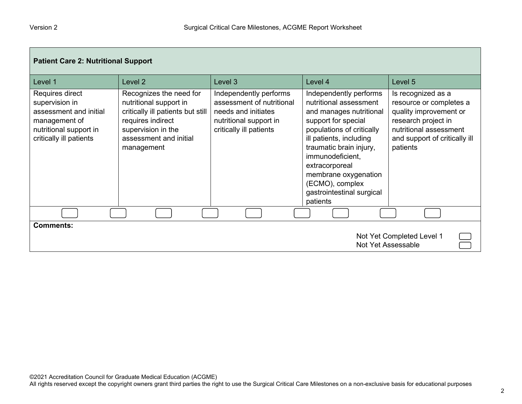г

| <b>Patient Care 2: Nutritional Support</b>                                                                                        |                                                                                                                                                                           |                                                                                                                                 |                                                                                                                                                                                                                                                                                                                 |                                                                                                                                                                       |
|-----------------------------------------------------------------------------------------------------------------------------------|---------------------------------------------------------------------------------------------------------------------------------------------------------------------------|---------------------------------------------------------------------------------------------------------------------------------|-----------------------------------------------------------------------------------------------------------------------------------------------------------------------------------------------------------------------------------------------------------------------------------------------------------------|-----------------------------------------------------------------------------------------------------------------------------------------------------------------------|
| Level 1                                                                                                                           | Level 2                                                                                                                                                                   | Level 3                                                                                                                         | Level 4                                                                                                                                                                                                                                                                                                         | Level 5                                                                                                                                                               |
| Requires direct<br>supervision in<br>assessment and initial<br>management of<br>nutritional support in<br>critically ill patients | Recognizes the need for<br>nutritional support in<br>critically ill patients but still<br>requires indirect<br>supervision in the<br>assessment and initial<br>management | Independently performs<br>assessment of nutritional<br>needs and initiates<br>nutritional support in<br>critically ill patients | Independently performs<br>nutritional assessment<br>and manages nutritional<br>support for special<br>populations of critically<br>ill patients, including<br>traumatic brain injury,<br>immunodeficient,<br>extracorporeal<br>membrane oxygenation<br>(ECMO), complex<br>gastrointestinal surgical<br>patients | Is recognized as a<br>resource or completes a<br>quality improvement or<br>research project in<br>nutritional assessment<br>and support of critically ill<br>patients |
|                                                                                                                                   |                                                                                                                                                                           |                                                                                                                                 |                                                                                                                                                                                                                                                                                                                 |                                                                                                                                                                       |
| <b>Comments:</b><br>Not Yet Completed Level 1<br>Not Yet Assessable                                                               |                                                                                                                                                                           |                                                                                                                                 |                                                                                                                                                                                                                                                                                                                 |                                                                                                                                                                       |

m,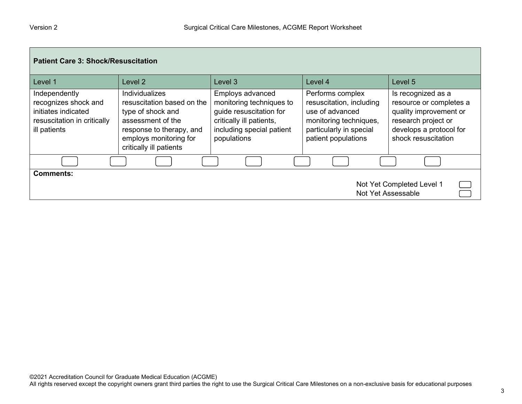| <b>Patient Care 3: Shock/Resuscitation</b>                                                                  |                                                                                                                                                                                |                                                                                                                                                 |                                                                                                                                             |                                                                                                                                                  |
|-------------------------------------------------------------------------------------------------------------|--------------------------------------------------------------------------------------------------------------------------------------------------------------------------------|-------------------------------------------------------------------------------------------------------------------------------------------------|---------------------------------------------------------------------------------------------------------------------------------------------|--------------------------------------------------------------------------------------------------------------------------------------------------|
| Level 1                                                                                                     | Level <sub>2</sub>                                                                                                                                                             | Level <sub>3</sub>                                                                                                                              | Level 4                                                                                                                                     | Level 5                                                                                                                                          |
| Independently<br>recognizes shock and<br>initiates indicated<br>resuscitation in critically<br>ill patients | <b>Individualizes</b><br>resuscitation based on the<br>type of shock and<br>assessment of the<br>response to therapy, and<br>employs monitoring for<br>critically ill patients | Employs advanced<br>monitoring techniques to<br>guide resuscitation for<br>critically ill patients,<br>including special patient<br>populations | Performs complex<br>resuscitation, including<br>use of advanced<br>monitoring techniques,<br>particularly in special<br>patient populations | Is recognized as a<br>resource or completes a<br>quality improvement or<br>research project or<br>develops a protocol for<br>shock resuscitation |
|                                                                                                             |                                                                                                                                                                                |                                                                                                                                                 |                                                                                                                                             |                                                                                                                                                  |
| <b>Comments:</b><br>Not Yet Completed Level 1<br>Not Yet Assessable                                         |                                                                                                                                                                                |                                                                                                                                                 |                                                                                                                                             |                                                                                                                                                  |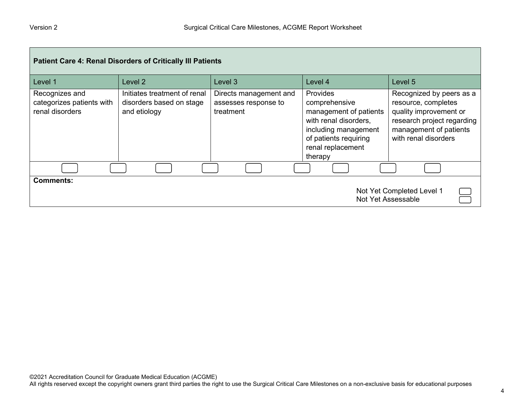| Patient Care 4: Renal Disorders of Critically III Patients          |                                                                          |                                                             |                                                                                                                                                                      |                                                                                                                                                           |  |
|---------------------------------------------------------------------|--------------------------------------------------------------------------|-------------------------------------------------------------|----------------------------------------------------------------------------------------------------------------------------------------------------------------------|-----------------------------------------------------------------------------------------------------------------------------------------------------------|--|
| Level 1                                                             | Level 2                                                                  | Level 3                                                     | Level 4                                                                                                                                                              | Level 5                                                                                                                                                   |  |
| Recognizes and<br>categorizes patients with<br>renal disorders      | Initiates treatment of renal<br>disorders based on stage<br>and etiology | Directs management and<br>assesses response to<br>treatment | <b>Provides</b><br>comprehensive<br>management of patients<br>with renal disorders,<br>including management<br>of patients requiring<br>renal replacement<br>therapy | Recognized by peers as a<br>resource, completes<br>quality improvement or<br>research project regarding<br>management of patients<br>with renal disorders |  |
|                                                                     |                                                                          |                                                             |                                                                                                                                                                      |                                                                                                                                                           |  |
| <b>Comments:</b><br>Not Yet Completed Level 1<br>Not Yet Assessable |                                                                          |                                                             |                                                                                                                                                                      |                                                                                                                                                           |  |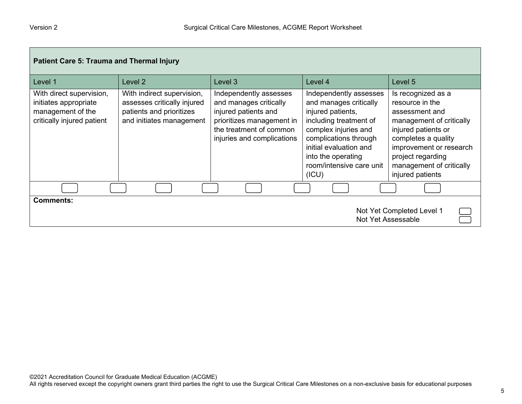| <b>Patient Care 5: Trauma and Thermal Injury</b>                                                     |                                                                                                                   |                                                                                                                                                                |                                                                                                                                                                                                                                       |                                                                                                                                                                                                                                   |
|------------------------------------------------------------------------------------------------------|-------------------------------------------------------------------------------------------------------------------|----------------------------------------------------------------------------------------------------------------------------------------------------------------|---------------------------------------------------------------------------------------------------------------------------------------------------------------------------------------------------------------------------------------|-----------------------------------------------------------------------------------------------------------------------------------------------------------------------------------------------------------------------------------|
| Level 1                                                                                              | Level 2                                                                                                           | Level 3                                                                                                                                                        | Level 4                                                                                                                                                                                                                               | Level 5                                                                                                                                                                                                                           |
| With direct supervision,<br>initiates appropriate<br>management of the<br>critically injured patient | With indirect supervision,<br>assesses critically injured<br>patients and prioritizes<br>and initiates management | Independently assesses<br>and manages critically<br>injured patients and<br>prioritizes management in<br>the treatment of common<br>injuries and complications | Independently assesses<br>and manages critically<br>injured patients,<br>including treatment of<br>complex injuries and<br>complications through<br>initial evaluation and<br>into the operating<br>room/intensive care unit<br>(ICU) | Is recognized as a<br>resource in the<br>assessment and<br>management of critically<br>injured patients or<br>completes a quality<br>improvement or research<br>project regarding<br>management of critically<br>injured patients |
|                                                                                                      |                                                                                                                   |                                                                                                                                                                |                                                                                                                                                                                                                                       |                                                                                                                                                                                                                                   |
| <b>Comments:</b><br>Not Yet Completed Level 1<br>Not Yet Assessable                                  |                                                                                                                   |                                                                                                                                                                |                                                                                                                                                                                                                                       |                                                                                                                                                                                                                                   |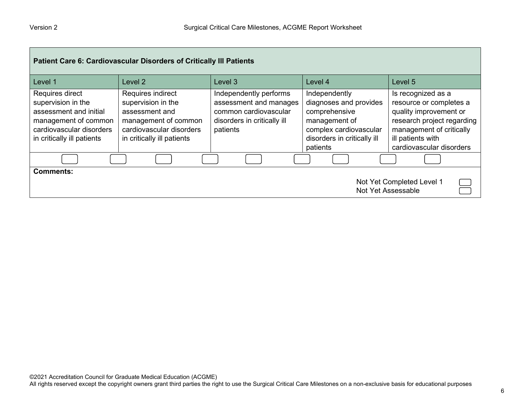| Patient Care 6: Cardiovascular Disorders of Critically III Patients                                                                               |                                                                                                                                             |                                                                                                                      |                                                                                                                                                |                                                                                                                                                                                    |
|---------------------------------------------------------------------------------------------------------------------------------------------------|---------------------------------------------------------------------------------------------------------------------------------------------|----------------------------------------------------------------------------------------------------------------------|------------------------------------------------------------------------------------------------------------------------------------------------|------------------------------------------------------------------------------------------------------------------------------------------------------------------------------------|
| Level 1                                                                                                                                           | Level 2                                                                                                                                     | Level <sub>3</sub>                                                                                                   | Level 4                                                                                                                                        | Level 5                                                                                                                                                                            |
| Requires direct<br>supervision in the<br>assessment and initial<br>management of common<br>cardiovascular disorders<br>in critically ill patients | Requires indirect<br>supervision in the<br>assessment and<br>management of common<br>cardiovascular disorders<br>in critically ill patients | Independently performs<br>assessment and manages<br>common cardiovascular<br>disorders in critically ill<br>patients | Independently<br>diagnoses and provides<br>comprehensive<br>management of<br>complex cardiovascular<br>disorders in critically ill<br>patients | Is recognized as a<br>resource or completes a<br>quality improvement or<br>research project regarding<br>management of critically<br>ill patients with<br>cardiovascular disorders |
|                                                                                                                                                   |                                                                                                                                             |                                                                                                                      |                                                                                                                                                |                                                                                                                                                                                    |
| <b>Comments:</b><br>Not Yet Completed Level 1<br>Not Yet Assessable                                                                               |                                                                                                                                             |                                                                                                                      |                                                                                                                                                |                                                                                                                                                                                    |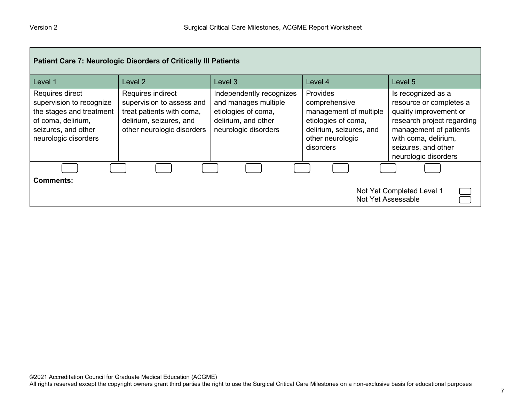| <b>Patient Care 7: Neurologic Disorders of Critically III Patients</b>                                                                       |                                                                                                                                      |                                                                                                                        |                                                                                                                                        |                                                                                                                                                                                                        |  |
|----------------------------------------------------------------------------------------------------------------------------------------------|--------------------------------------------------------------------------------------------------------------------------------------|------------------------------------------------------------------------------------------------------------------------|----------------------------------------------------------------------------------------------------------------------------------------|--------------------------------------------------------------------------------------------------------------------------------------------------------------------------------------------------------|--|
| Level 1                                                                                                                                      | Level 2                                                                                                                              | Level 3                                                                                                                | Level 4                                                                                                                                | Level 5                                                                                                                                                                                                |  |
| Requires direct<br>supervision to recognize<br>the stages and treatment<br>of coma, delirium,<br>seizures, and other<br>neurologic disorders | Requires indirect<br>supervision to assess and<br>treat patients with coma,<br>delirium, seizures, and<br>other neurologic disorders | Independently recognizes<br>and manages multiple<br>etiologies of coma,<br>delirium, and other<br>neurologic disorders | Provides<br>comprehensive<br>management of multiple<br>etiologies of coma,<br>delirium, seizures, and<br>other neurologic<br>disorders | Is recognized as a<br>resource or completes a<br>quality improvement or<br>research project regarding<br>management of patients<br>with coma, delirium,<br>seizures, and other<br>neurologic disorders |  |
|                                                                                                                                              |                                                                                                                                      |                                                                                                                        |                                                                                                                                        |                                                                                                                                                                                                        |  |
| <b>Comments:</b><br>Not Yet Completed Level 1<br>Not Yet Assessable                                                                          |                                                                                                                                      |                                                                                                                        |                                                                                                                                        |                                                                                                                                                                                                        |  |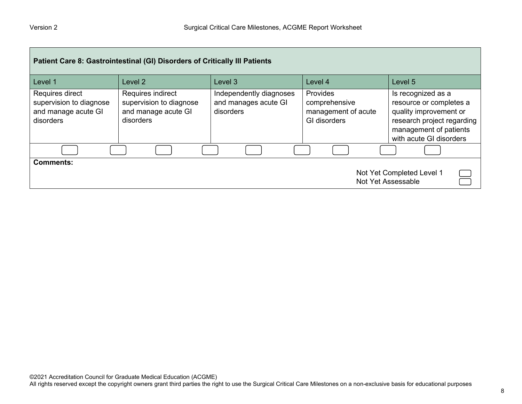| Patient Care 8: Gastrointestinal (GI) Disorders of Critically III Patients     |                                                                                  |                                                              |                                                                         |                                                                                                                                                            |  |
|--------------------------------------------------------------------------------|----------------------------------------------------------------------------------|--------------------------------------------------------------|-------------------------------------------------------------------------|------------------------------------------------------------------------------------------------------------------------------------------------------------|--|
| Level 1                                                                        | Level 2                                                                          | Level 3                                                      | Level 4                                                                 | Level 5                                                                                                                                                    |  |
| Requires direct<br>supervision to diagnose<br>and manage acute GI<br>disorders | Requires indirect<br>supervision to diagnose<br>and manage acute GI<br>disorders | Independently diagnoses<br>and manages acute GI<br>disorders | Provides<br>comprehensive<br>management of acute<br><b>GI</b> disorders | Is recognized as a<br>resource or completes a<br>quality improvement or<br>research project regarding<br>management of patients<br>with acute GI disorders |  |
|                                                                                |                                                                                  |                                                              |                                                                         |                                                                                                                                                            |  |
| Comments:<br>Not Yet Completed Level 1<br>Not Yet Assessable                   |                                                                                  |                                                              |                                                                         |                                                                                                                                                            |  |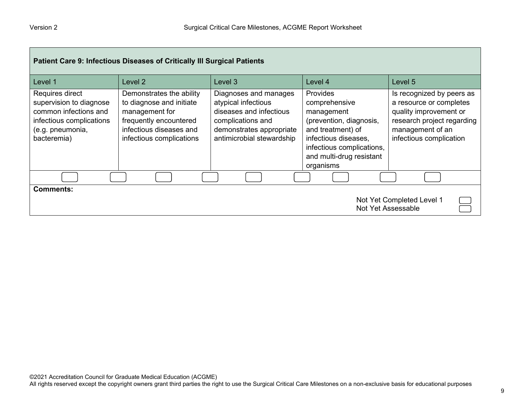| <b>Patient Care 9: Infectious Diseases of Critically III Surgical Patients</b>                                                     |                                                                                                                                                         |                                                                                                                                                       |                                                                                                                                                                                              |                                                                                                                                                             |  |
|------------------------------------------------------------------------------------------------------------------------------------|---------------------------------------------------------------------------------------------------------------------------------------------------------|-------------------------------------------------------------------------------------------------------------------------------------------------------|----------------------------------------------------------------------------------------------------------------------------------------------------------------------------------------------|-------------------------------------------------------------------------------------------------------------------------------------------------------------|--|
| Level 1                                                                                                                            | Level <sub>2</sub>                                                                                                                                      | Level <sub>3</sub>                                                                                                                                    | Level 4                                                                                                                                                                                      | Level 5                                                                                                                                                     |  |
| Requires direct<br>supervision to diagnose<br>common infections and<br>infectious complications<br>(e.g. pneumonia,<br>bacteremia) | Demonstrates the ability<br>to diagnose and initiate<br>management for<br>frequently encountered<br>infectious diseases and<br>infectious complications | Diagnoses and manages<br>atypical infectious<br>diseases and infectious<br>complications and<br>demonstrates appropriate<br>antimicrobial stewardship | <b>Provides</b><br>comprehensive<br>management<br>(prevention, diagnosis,<br>and treatment) of<br>infectious diseases,<br>infectious complications,<br>and multi-drug resistant<br>organisms | Is recognized by peers as<br>a resource or completes<br>quality improvement or<br>research project regarding<br>management of an<br>infectious complication |  |
|                                                                                                                                    |                                                                                                                                                         |                                                                                                                                                       |                                                                                                                                                                                              |                                                                                                                                                             |  |
| <b>Comments:</b><br>Not Yet Completed Level 1<br>Not Yet Assessable                                                                |                                                                                                                                                         |                                                                                                                                                       |                                                                                                                                                                                              |                                                                                                                                                             |  |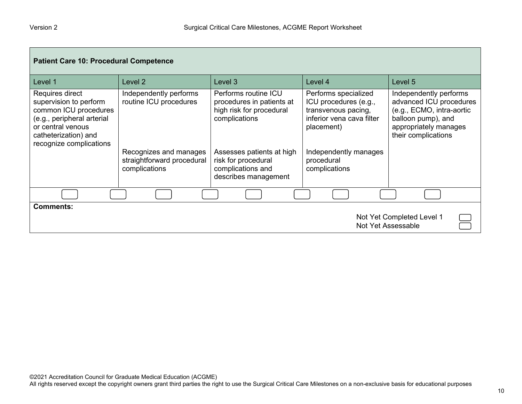| <b>Patient Care 10: Procedural Competence</b>                                                                                                                            |                                                                       |                                                                                                |                                                                                                                 |                                                                                                                                                      |
|--------------------------------------------------------------------------------------------------------------------------------------------------------------------------|-----------------------------------------------------------------------|------------------------------------------------------------------------------------------------|-----------------------------------------------------------------------------------------------------------------|------------------------------------------------------------------------------------------------------------------------------------------------------|
| Level 1                                                                                                                                                                  | Level 2                                                               | Level 3                                                                                        | Level 4                                                                                                         | Level 5                                                                                                                                              |
| Requires direct<br>supervision to perform<br>common ICU procedures<br>(e.g., peripheral arterial<br>or central venous<br>catheterization) and<br>recognize complications | Independently performs<br>routine ICU procedures                      | Performs routine ICU<br>procedures in patients at<br>high risk for procedural<br>complications | Performs specialized<br>ICU procedures (e.g.,<br>transvenous pacing,<br>inferior vena cava filter<br>placement) | Independently performs<br>advanced ICU procedures<br>(e.g., ECMO, intra-aortic<br>balloon pump), and<br>appropriately manages<br>their complications |
|                                                                                                                                                                          | Recognizes and manages<br>straightforward procedural<br>complications | Assesses patients at high<br>risk for procedural<br>complications and<br>describes management  | Independently manages<br>procedural<br>complications                                                            |                                                                                                                                                      |
|                                                                                                                                                                          |                                                                       |                                                                                                |                                                                                                                 |                                                                                                                                                      |
| <b>Comments:</b><br>Not Yet Completed Level 1<br>Not Yet Assessable                                                                                                      |                                                                       |                                                                                                |                                                                                                                 |                                                                                                                                                      |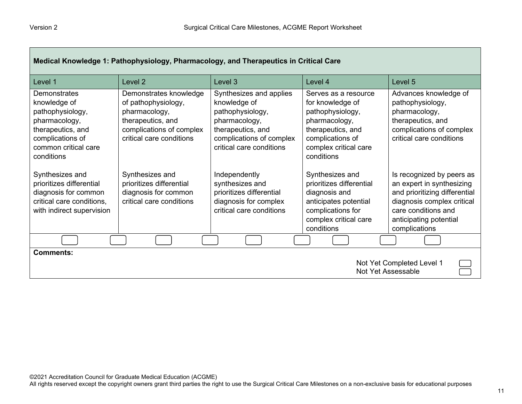Г

| Medical Knowledge 1: Pathophysiology, Pharmacology, and Therapeutics in Critical Care                                                                   |                                                                                                                                             |                                                                                                                                                           |                                                                                                                                                               |                                                                                                                                                                                         |
|---------------------------------------------------------------------------------------------------------------------------------------------------------|---------------------------------------------------------------------------------------------------------------------------------------------|-----------------------------------------------------------------------------------------------------------------------------------------------------------|---------------------------------------------------------------------------------------------------------------------------------------------------------------|-----------------------------------------------------------------------------------------------------------------------------------------------------------------------------------------|
| Level 1                                                                                                                                                 | Level 2                                                                                                                                     | Level 3                                                                                                                                                   | Level 4                                                                                                                                                       | Level 5                                                                                                                                                                                 |
| <b>Demonstrates</b><br>knowledge of<br>pathophysiology,<br>pharmacology,<br>therapeutics, and<br>complications of<br>common critical care<br>conditions | Demonstrates knowledge<br>of pathophysiology,<br>pharmacology,<br>therapeutics, and<br>complications of complex<br>critical care conditions | Synthesizes and applies<br>knowledge of<br>pathophysiology,<br>pharmacology,<br>therapeutics, and<br>complications of complex<br>critical care conditions | Serves as a resource<br>for knowledge of<br>pathophysiology,<br>pharmacology,<br>therapeutics, and<br>complications of<br>complex critical care<br>conditions | Advances knowledge of<br>pathophysiology,<br>pharmacology,<br>therapeutics, and<br>complications of complex<br>critical care conditions                                                 |
| Synthesizes and<br>prioritizes differential<br>diagnosis for common<br>critical care conditions,<br>with indirect supervision                           | Synthesizes and<br>prioritizes differential<br>diagnosis for common<br>critical care conditions                                             | Independently<br>synthesizes and<br>prioritizes differential<br>diagnosis for complex<br>critical care conditions                                         | Synthesizes and<br>prioritizes differential<br>diagnosis and<br>anticipates potential<br>complications for<br>complex critical care<br>conditions             | Is recognized by peers as<br>an expert in synthesizing<br>and prioritizing differential<br>diagnosis complex critical<br>care conditions and<br>anticipating potential<br>complications |
|                                                                                                                                                         |                                                                                                                                             |                                                                                                                                                           |                                                                                                                                                               |                                                                                                                                                                                         |
| <b>Comments:</b><br>Not Yet Completed Level 1<br>Not Yet Assessable                                                                                     |                                                                                                                                             |                                                                                                                                                           |                                                                                                                                                               |                                                                                                                                                                                         |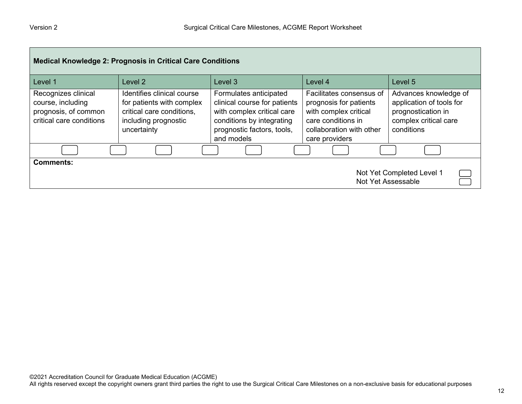| <b>Medical Knowledge 2: Prognosis in Critical Care Conditions</b>                            |                                                                                                                             |                                                                                                                                                               |                                                                                                                                                 |                                                                                                                |
|----------------------------------------------------------------------------------------------|-----------------------------------------------------------------------------------------------------------------------------|---------------------------------------------------------------------------------------------------------------------------------------------------------------|-------------------------------------------------------------------------------------------------------------------------------------------------|----------------------------------------------------------------------------------------------------------------|
| Level 1                                                                                      | Level 2                                                                                                                     | Level 3                                                                                                                                                       | Level 4                                                                                                                                         | Level 5                                                                                                        |
| Recognizes clinical<br>course, including<br>prognosis, of common<br>critical care conditions | Identifies clinical course<br>for patients with complex<br>critical care conditions,<br>including prognostic<br>uncertainty | Formulates anticipated<br>clinical course for patients<br>with complex critical care<br>conditions by integrating<br>prognostic factors, tools,<br>and models | Facilitates consensus of<br>prognosis for patients<br>with complex critical<br>care conditions in<br>collaboration with other<br>care providers | Advances knowledge of<br>application of tools for<br>prognostication in<br>complex critical care<br>conditions |
|                                                                                              |                                                                                                                             |                                                                                                                                                               |                                                                                                                                                 |                                                                                                                |
| <b>Comments:</b>                                                                             |                                                                                                                             |                                                                                                                                                               | Not Yet Assessable                                                                                                                              | Not Yet Completed Level 1                                                                                      |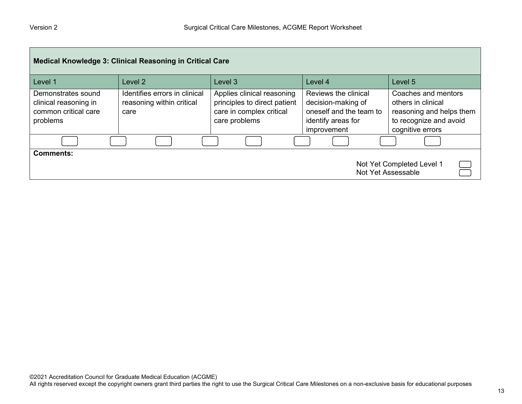| Medical Knowledge 3: Clinical Reasoning in Critical Care                        |                                                                    |                                                                                                         |                                                                                                            |                                                                                                                     |
|---------------------------------------------------------------------------------|--------------------------------------------------------------------|---------------------------------------------------------------------------------------------------------|------------------------------------------------------------------------------------------------------------|---------------------------------------------------------------------------------------------------------------------|
| Level 1                                                                         | Level 2                                                            | Level 3                                                                                                 | Level 4                                                                                                    | Level 5                                                                                                             |
| Demonstrates sound<br>clinical reasoning in<br>common critical care<br>problems | Identifies errors in clinical<br>reasoning within critical<br>care | Applies clinical reasoning<br>principles to direct patient<br>care in complex critical<br>care problems | Reviews the clinical<br>decision-making of<br>oneself and the team to<br>identify areas for<br>improvement | Coaches and mentors<br>others in clinical<br>reasoning and helps them<br>to recognize and avoid<br>cognitive errors |
|                                                                                 |                                                                    |                                                                                                         |                                                                                                            |                                                                                                                     |
| <b>Comments:</b><br>Not Yet Completed Level 1<br>Not Yet Assessable             |                                                                    |                                                                                                         |                                                                                                            |                                                                                                                     |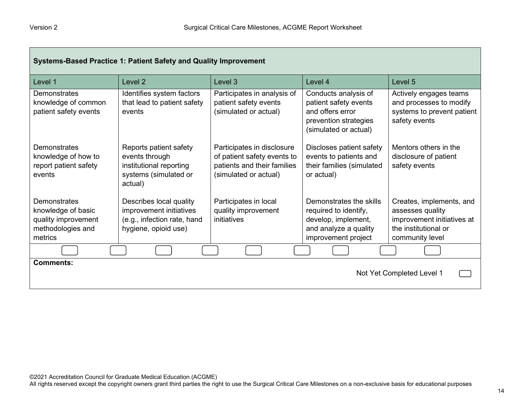г

| Systems-Based Practice 1: Patient Safety and Quality Improvement                          |                                                                                                           |                                                                                                                   |                                                                                                                         |                                                                                                                       |
|-------------------------------------------------------------------------------------------|-----------------------------------------------------------------------------------------------------------|-------------------------------------------------------------------------------------------------------------------|-------------------------------------------------------------------------------------------------------------------------|-----------------------------------------------------------------------------------------------------------------------|
| Level 1                                                                                   | Level <sub>2</sub>                                                                                        | Level 3                                                                                                           | Level 4                                                                                                                 | Level 5                                                                                                               |
| <b>Demonstrates</b><br>knowledge of common<br>patient safety events                       | Identifies system factors<br>that lead to patient safety<br>events                                        | Participates in analysis of<br>patient safety events<br>(simulated or actual)                                     | Conducts analysis of<br>patient safety events<br>and offers error<br>prevention strategies<br>(simulated or actual)     | Actively engages teams<br>and processes to modify<br>systems to prevent patient<br>safety events                      |
| Demonstrates<br>knowledge of how to<br>report patient safety<br>events                    | Reports patient safety<br>events through<br>institutional reporting<br>systems (simulated or<br>actual)   | Participates in disclosure<br>of patient safety events to<br>patients and their families<br>(simulated or actual) | Discloses patient safety<br>events to patients and<br>their families (simulated<br>or actual)                           | Mentors others in the<br>disclosure of patient<br>safety events                                                       |
| Demonstrates<br>knowledge of basic<br>quality improvement<br>methodologies and<br>metrics | Describes local quality<br>improvement initiatives<br>(e.g., infection rate, hand<br>hygiene, opioid use) | Participates in local<br>quality improvement<br>initiatives                                                       | Demonstrates the skills<br>required to identify,<br>develop, implement,<br>and analyze a quality<br>improvement project | Creates, implements, and<br>assesses quality<br>improvement initiatives at<br>the institutional or<br>community level |
|                                                                                           |                                                                                                           |                                                                                                                   |                                                                                                                         |                                                                                                                       |
| <b>Comments:</b><br>Not Yet Completed Level 1                                             |                                                                                                           |                                                                                                                   |                                                                                                                         |                                                                                                                       |

┓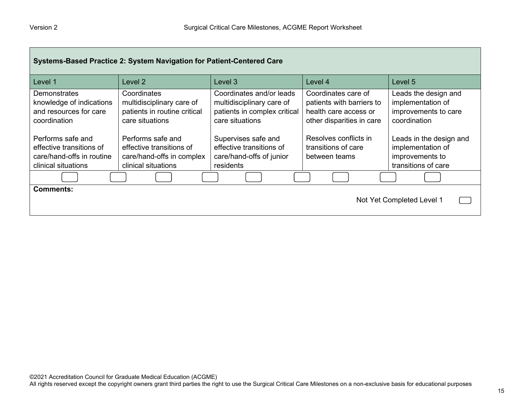| Systems-Based Practice 2: System Navigation for Patient-Centered Care                             |                                                                                                   |                                                                                                          |                                                                                                        |                                                                                        |
|---------------------------------------------------------------------------------------------------|---------------------------------------------------------------------------------------------------|----------------------------------------------------------------------------------------------------------|--------------------------------------------------------------------------------------------------------|----------------------------------------------------------------------------------------|
| Level 1                                                                                           | Level <sub>2</sub>                                                                                | Level 3                                                                                                  | Level 4                                                                                                | Level 5                                                                                |
| Demonstrates<br>knowledge of indications<br>and resources for care<br>coordination                | Coordinates<br>multidisciplinary care of<br>patients in routine critical<br>care situations       | Coordinates and/or leads<br>multidisciplinary care of<br>patients in complex critical<br>care situations | Coordinates care of<br>patients with barriers to<br>health care access or<br>other disparities in care | Leads the design and<br>implementation of<br>improvements to care<br>coordination      |
| Performs safe and<br>effective transitions of<br>care/hand-offs in routine<br>clinical situations | Performs safe and<br>effective transitions of<br>care/hand-offs in complex<br>clinical situations | Supervises safe and<br>effective transitions of<br>care/hand-offs of junior<br>residents                 | Resolves conflicts in<br>transitions of care<br>between teams                                          | Leads in the design and<br>implementation of<br>improvements to<br>transitions of care |
|                                                                                                   |                                                                                                   |                                                                                                          |                                                                                                        |                                                                                        |
| <b>Comments:</b><br>Not Yet Completed Level 1                                                     |                                                                                                   |                                                                                                          |                                                                                                        |                                                                                        |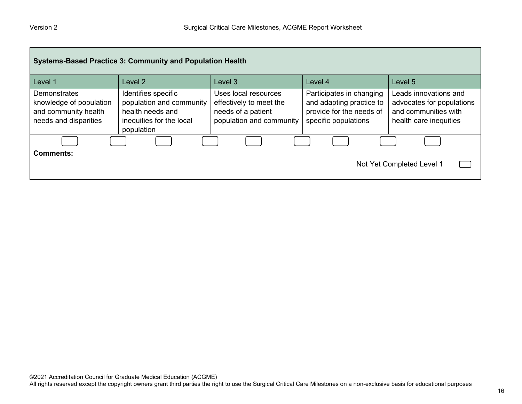| <b>Systems-Based Practice 3: Community and Population Health</b>                                |                                                                                                               |                                                                                                   |                                                                                                          |                                                                                                      |
|-------------------------------------------------------------------------------------------------|---------------------------------------------------------------------------------------------------------------|---------------------------------------------------------------------------------------------------|----------------------------------------------------------------------------------------------------------|------------------------------------------------------------------------------------------------------|
| Level 1                                                                                         | Level <sub>2</sub>                                                                                            | Level 3                                                                                           | Level 4                                                                                                  | Level 5                                                                                              |
| <b>Demonstrates</b><br>knowledge of population<br>and community health<br>needs and disparities | Identifies specific<br>population and community<br>health needs and<br>inequities for the local<br>population | Uses local resources<br>effectively to meet the<br>needs of a patient<br>population and community | Participates in changing<br>and adapting practice to<br>provide for the needs of<br>specific populations | Leads innovations and<br>advocates for populations<br>and communities with<br>health care inequities |
|                                                                                                 |                                                                                                               |                                                                                                   |                                                                                                          |                                                                                                      |
| <b>Comments:</b><br>Not Yet Completed Level 1                                                   |                                                                                                               |                                                                                                   |                                                                                                          |                                                                                                      |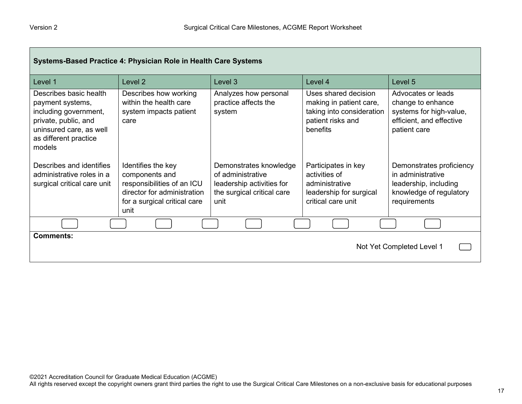| Systems-Based Practice 4: Physician Role in Health Care Systems                                                                                           |                                                                                                                                           |                                                                                                                |                                                                                                               |                                                                                                                   |
|-----------------------------------------------------------------------------------------------------------------------------------------------------------|-------------------------------------------------------------------------------------------------------------------------------------------|----------------------------------------------------------------------------------------------------------------|---------------------------------------------------------------------------------------------------------------|-------------------------------------------------------------------------------------------------------------------|
| Level 1                                                                                                                                                   | Level 2                                                                                                                                   | Level 3                                                                                                        | Level 4                                                                                                       | Level 5                                                                                                           |
| Describes basic health<br>payment systems,<br>including government,<br>private, public, and<br>uninsured care, as well<br>as different practice<br>models | Describes how working<br>within the health care<br>system impacts patient<br>care                                                         | Analyzes how personal<br>practice affects the<br>system                                                        | Uses shared decision<br>making in patient care,<br>taking into consideration<br>patient risks and<br>benefits | Advocates or leads<br>change to enhance<br>systems for high-value,<br>efficient, and effective<br>patient care    |
| Describes and identifies<br>administrative roles in a<br>surgical critical care unit                                                                      | Identifies the key<br>components and<br>responsibilities of an ICU<br>director for administration<br>for a surgical critical care<br>unit | Demonstrates knowledge<br>of administrative<br>leadership activities for<br>the surgical critical care<br>unit | Participates in key<br>activities of<br>administrative<br>leadership for surgical<br>critical care unit       | Demonstrates proficiency<br>in administrative<br>leadership, including<br>knowledge of regulatory<br>requirements |
|                                                                                                                                                           |                                                                                                                                           |                                                                                                                |                                                                                                               |                                                                                                                   |
| <b>Comments:</b><br>Not Yet Completed Level 1                                                                                                             |                                                                                                                                           |                                                                                                                |                                                                                                               |                                                                                                                   |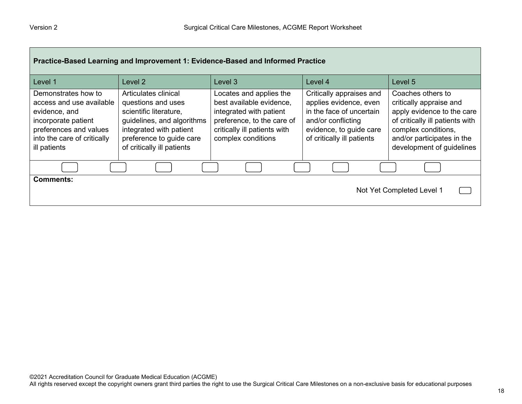| Practice-Based Learning and Improvement 1: Evidence-Based and Informed Practice                                                                                  |                                                                                                                                                                                         |                                                                                                                                                                    |                                                                                                                                                               |                                                                                                                                                                                                 |
|------------------------------------------------------------------------------------------------------------------------------------------------------------------|-----------------------------------------------------------------------------------------------------------------------------------------------------------------------------------------|--------------------------------------------------------------------------------------------------------------------------------------------------------------------|---------------------------------------------------------------------------------------------------------------------------------------------------------------|-------------------------------------------------------------------------------------------------------------------------------------------------------------------------------------------------|
| Level 1                                                                                                                                                          | Level 2                                                                                                                                                                                 | Level 3                                                                                                                                                            | Level 4                                                                                                                                                       | Level 5                                                                                                                                                                                         |
| Demonstrates how to<br>access and use available<br>evidence, and<br>incorporate patient<br>preferences and values<br>into the care of critically<br>ill patients | Articulates clinical<br>questions and uses<br>scientific literature,<br>guidelines, and algorithms<br>integrated with patient<br>preference to guide care<br>of critically ill patients | Locates and applies the<br>best available evidence,<br>integrated with patient<br>preference, to the care of<br>critically ill patients with<br>complex conditions | Critically appraises and<br>applies evidence, even<br>in the face of uncertain<br>and/or conflicting<br>evidence, to guide care<br>of critically ill patients | Coaches others to<br>critically appraise and<br>apply evidence to the care<br>of critically ill patients with<br>complex conditions,<br>and/or participates in the<br>development of guidelines |
|                                                                                                                                                                  |                                                                                                                                                                                         |                                                                                                                                                                    |                                                                                                                                                               |                                                                                                                                                                                                 |
| <b>Comments:</b><br>Not Yet Completed Level 1                                                                                                                    |                                                                                                                                                                                         |                                                                                                                                                                    |                                                                                                                                                               |                                                                                                                                                                                                 |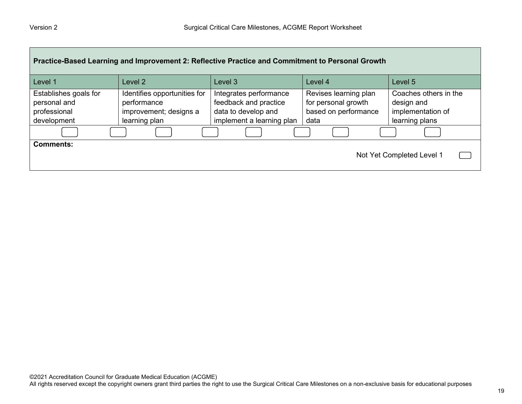| Practice-Based Learning and Improvement 2: Reflective Practice and Commitment to Personal Growth |                                                                                        |                                                                                                     |                                                                              |                                                                            |
|--------------------------------------------------------------------------------------------------|----------------------------------------------------------------------------------------|-----------------------------------------------------------------------------------------------------|------------------------------------------------------------------------------|----------------------------------------------------------------------------|
| Level 1                                                                                          | Level 2                                                                                | Level 3                                                                                             | Level 4                                                                      | Level 5                                                                    |
| Establishes goals for<br>personal and<br>professional<br>development                             | Identifies opportunities for<br>performance<br>improvement; designs a<br>learning plan | Integrates performance<br>feedback and practice<br>data to develop and<br>implement a learning plan | Revises learning plan<br>for personal growth<br>based on performance<br>data | Coaches others in the<br>design and<br>implementation of<br>learning plans |
|                                                                                                  |                                                                                        |                                                                                                     |                                                                              |                                                                            |
| <b>Comments:</b>                                                                                 |                                                                                        |                                                                                                     |                                                                              | Not Yet Completed Level 1                                                  |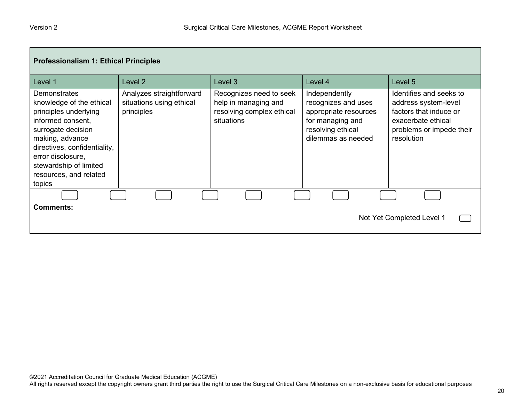| <b>Professionalism 1: Ethical Principles</b>                                                                                                                                                                                                              |                                                                    |                                                                                            |                                                                                                                              |                                                                                                                                           |
|-----------------------------------------------------------------------------------------------------------------------------------------------------------------------------------------------------------------------------------------------------------|--------------------------------------------------------------------|--------------------------------------------------------------------------------------------|------------------------------------------------------------------------------------------------------------------------------|-------------------------------------------------------------------------------------------------------------------------------------------|
| Level 1                                                                                                                                                                                                                                                   | Level 2                                                            | Level 3                                                                                    | Level 4                                                                                                                      | Level 5                                                                                                                                   |
| <b>Demonstrates</b><br>knowledge of the ethical<br>principles underlying<br>informed consent,<br>surrogate decision<br>making, advance<br>directives, confidentiality,<br>error disclosure,<br>stewardship of limited<br>resources, and related<br>topics | Analyzes straightforward<br>situations using ethical<br>principles | Recognizes need to seek<br>help in managing and<br>resolving complex ethical<br>situations | Independently<br>recognizes and uses<br>appropriate resources<br>for managing and<br>resolving ethical<br>dilemmas as needed | Identifies and seeks to<br>address system-level<br>factors that induce or<br>exacerbate ethical<br>problems or impede their<br>resolution |
|                                                                                                                                                                                                                                                           |                                                                    |                                                                                            |                                                                                                                              |                                                                                                                                           |
| <b>Comments:</b><br>Not Yet Completed Level 1                                                                                                                                                                                                             |                                                                    |                                                                                            |                                                                                                                              |                                                                                                                                           |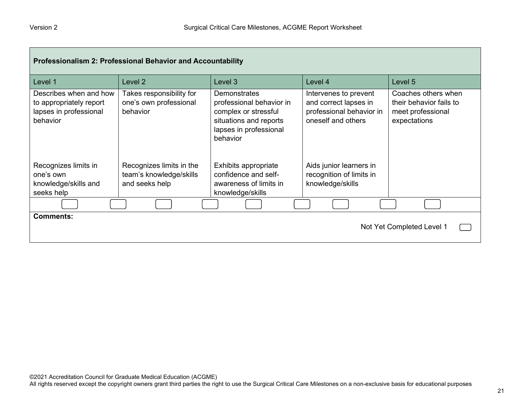| <b>Professionalism 2: Professional Behavior and Accountability</b>                      |                                                                       |                                                                                                                                  |                                                                                                  |                                                                                     |
|-----------------------------------------------------------------------------------------|-----------------------------------------------------------------------|----------------------------------------------------------------------------------------------------------------------------------|--------------------------------------------------------------------------------------------------|-------------------------------------------------------------------------------------|
| Level 1                                                                                 | Level <sub>2</sub>                                                    | Level 3                                                                                                                          | Level 4                                                                                          | Level 5                                                                             |
| Describes when and how<br>to appropriately report<br>lapses in professional<br>behavior | Takes responsibility for<br>one's own professional<br>behavior        | Demonstrates<br>professional behavior in<br>complex or stressful<br>situations and reports<br>lapses in professional<br>behavior | Intervenes to prevent<br>and correct lapses in<br>professional behavior in<br>oneself and others | Coaches others when<br>their behavior fails to<br>meet professional<br>expectations |
| Recognizes limits in<br>one's own<br>knowledge/skills and<br>seeks help                 | Recognizes limits in the<br>team's knowledge/skills<br>and seeks help | Exhibits appropriate<br>confidence and self-<br>awareness of limits in<br>knowledge/skills                                       | Aids junior learners in<br>recognition of limits in<br>knowledge/skills                          |                                                                                     |
|                                                                                         |                                                                       |                                                                                                                                  |                                                                                                  |                                                                                     |
| <b>Comments:</b><br>Not Yet Completed Level 1                                           |                                                                       |                                                                                                                                  |                                                                                                  |                                                                                     |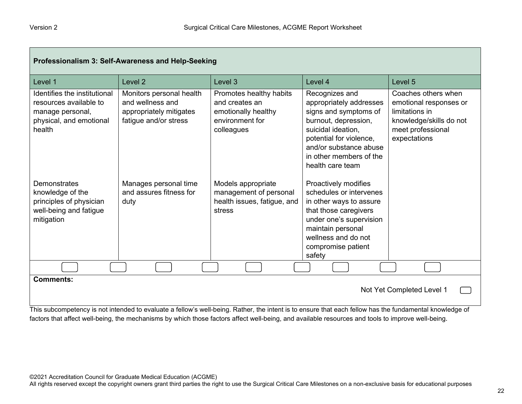| Professionalism 3: Self-Awareness and Help-Seeking                                                                                                                                                   |                                                                                                  |                                                                                                   |                                                                                                                                                                                                                      |                                                                                                                                 |
|------------------------------------------------------------------------------------------------------------------------------------------------------------------------------------------------------|--------------------------------------------------------------------------------------------------|---------------------------------------------------------------------------------------------------|----------------------------------------------------------------------------------------------------------------------------------------------------------------------------------------------------------------------|---------------------------------------------------------------------------------------------------------------------------------|
| Level 1                                                                                                                                                                                              | Level <sub>2</sub>                                                                               | Level 3                                                                                           | Level 4                                                                                                                                                                                                              | Level 5                                                                                                                         |
| Identifies the institutional<br>resources available to<br>manage personal,<br>physical, and emotional<br>health                                                                                      | Monitors personal health<br>and wellness and<br>appropriately mitigates<br>fatigue and/or stress | Promotes healthy habits<br>and creates an<br>emotionally healthy<br>environment for<br>colleagues | Recognizes and<br>appropriately addresses<br>signs and symptoms of<br>burnout, depression,<br>suicidal ideation,<br>potential for violence,<br>and/or substance abuse<br>in other members of the<br>health care team | Coaches others when<br>emotional responses or<br>limitations in<br>knowledge/skills do not<br>meet professional<br>expectations |
| Demonstrates<br>knowledge of the<br>principles of physician<br>well-being and fatigue<br>mitigation                                                                                                  | Manages personal time<br>and assures fitness for<br>duty                                         | Models appropriate<br>management of personal<br>health issues, fatigue, and<br>stress             | Proactively modifies<br>schedules or intervenes<br>in other ways to assure<br>that those caregivers<br>under one's supervision<br>maintain personal<br>wellness and do not<br>compromise patient<br>safety           |                                                                                                                                 |
|                                                                                                                                                                                                      |                                                                                                  |                                                                                                   |                                                                                                                                                                                                                      |                                                                                                                                 |
| <b>Comments:</b><br>Not Yet Completed Level 1<br>This subsemption is not intended to suckete a followin well being. Dethan the intent is to conven that saak follow has the fundamental luculades of |                                                                                                  |                                                                                                   |                                                                                                                                                                                                                      |                                                                                                                                 |

This subcompetency is not intended to evaluate a fellow's well-being. Rather, the intent is to ensure that each fellow has the fundamental knowledge of factors that affect well-being, the mechanisms by which those factors affect well-being, and available resources and tools to improve well-being.

All rights reserved except the copyright owners grant third parties the right to use the Surgical Critical Care Milestones on a non-exclusive basis for educational purposes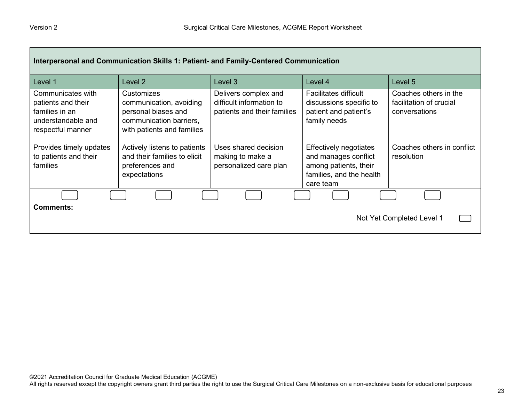| Interpersonal and Communication Skills 1: Patient- and Family-Centered Communication                 |                                                                                                                       |                                                                                 |                                                                                                                         |                                                                   |
|------------------------------------------------------------------------------------------------------|-----------------------------------------------------------------------------------------------------------------------|---------------------------------------------------------------------------------|-------------------------------------------------------------------------------------------------------------------------|-------------------------------------------------------------------|
| Level 1                                                                                              | Level <sub>2</sub>                                                                                                    | Level 3                                                                         | Level 4                                                                                                                 | Level 5                                                           |
| Communicates with<br>patients and their<br>families in an<br>understandable and<br>respectful manner | Customizes<br>communication, avoiding<br>personal biases and<br>communication barriers,<br>with patients and families | Delivers complex and<br>difficult information to<br>patients and their families | <b>Facilitates difficult</b><br>discussions specific to<br>patient and patient's<br>family needs                        | Coaches others in the<br>facilitation of crucial<br>conversations |
| Provides timely updates<br>to patients and their<br>families                                         | Actively listens to patients<br>and their families to elicit<br>preferences and<br>expectations                       | Uses shared decision<br>making to make a<br>personalized care plan              | <b>Effectively negotiates</b><br>and manages conflict<br>among patients, their<br>families, and the health<br>care team | Coaches others in conflict<br>resolution                          |
|                                                                                                      |                                                                                                                       |                                                                                 |                                                                                                                         |                                                                   |
| <b>Comments:</b><br>Not Yet Completed Level 1                                                        |                                                                                                                       |                                                                                 |                                                                                                                         |                                                                   |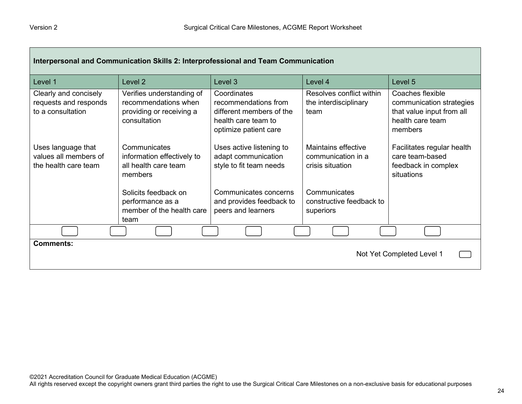| Interpersonal and Communication Skills 2: Interprofessional and Team Communication |                                                                                               |                                                                                                                 |                                                               |                                                                                                          |  |  |
|------------------------------------------------------------------------------------|-----------------------------------------------------------------------------------------------|-----------------------------------------------------------------------------------------------------------------|---------------------------------------------------------------|----------------------------------------------------------------------------------------------------------|--|--|
| Level 1                                                                            | Level 2                                                                                       | Level 3                                                                                                         | Level 4                                                       | Level <sub>5</sub>                                                                                       |  |  |
| Clearly and concisely<br>requests and responds<br>to a consultation                | Verifies understanding of<br>recommendations when<br>providing or receiving a<br>consultation | Coordinates<br>recommendations from<br>different members of the<br>health care team to<br>optimize patient care | Resolves conflict within<br>the interdisciplinary<br>team     | Coaches flexible<br>communication strategies<br>that value input from all<br>health care team<br>members |  |  |
| Uses language that<br>values all members of<br>the health care team                | Communicates<br>information effectively to<br>all health care team<br>members                 | Uses active listening to<br>adapt communication<br>style to fit team needs                                      | Maintains effective<br>communication in a<br>crisis situation | Facilitates regular health<br>care team-based<br>feedback in complex<br>situations                       |  |  |
|                                                                                    | Solicits feedback on<br>performance as a<br>member of the health care<br>team                 | Communicates concerns<br>and provides feedback to<br>peers and learners                                         | Communicates<br>constructive feedback to<br>superiors         |                                                                                                          |  |  |
|                                                                                    |                                                                                               |                                                                                                                 |                                                               |                                                                                                          |  |  |
| <b>Comments:</b><br>Not Yet Completed Level 1                                      |                                                                                               |                                                                                                                 |                                                               |                                                                                                          |  |  |